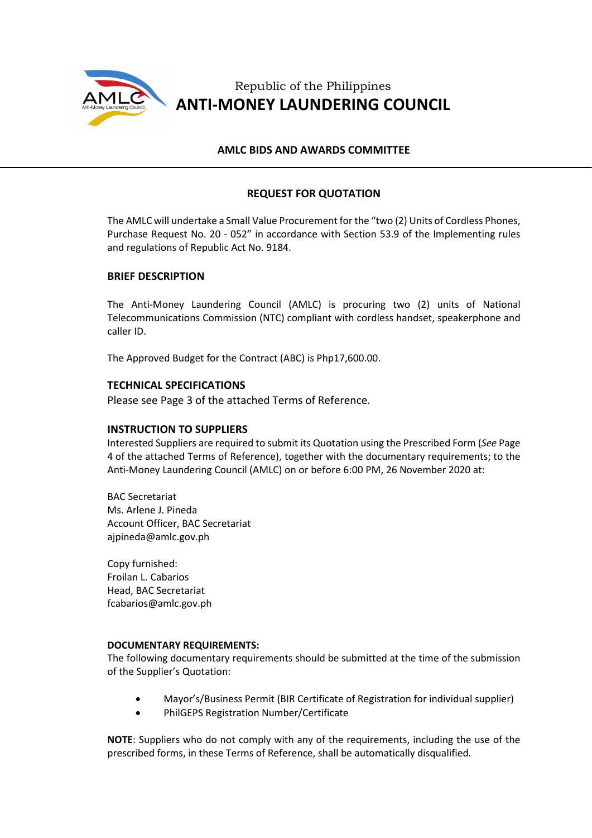

Republic of the Philippines **ANTI-MONEY LAUNDERING COUNCIL**

## **AMLC BIDS AND AWARDS COMMITTEE**

# **REQUEST FOR QUOTATION**

The AMLC will undertake a Small Value Procurement for the "two (2) Units of Cordless Phones, Purchase Request No. 20 - 052" in accordance with Section 53.9 of the Implementing rules and regulations of Republic Act No. 9184.

## **BRIEF DESCRIPTION**

The Anti-Money Laundering Council (AMLC) is procuring two (2) units of National Telecommunications Commission (NTC) compliant with cordless handset, speakerphone and caller ID.

The Approved Budget for the Contract (ABC) is Php17,600.00.

### **TECHNICAL SPECIFICATIONS**

Please see Page 3 of the attached Terms of Reference.

#### **INSTRUCTION TO SUPPLIERS**

Interested Suppliers are required to submit its Quotation using the Prescribed Form (*See* Page 4 of the attached Terms of Reference), together with the documentary requirements; to the Anti-Money Laundering Council (AMLC) on or before 6:00 PM, 26 November 2020 at:

BAC Secretariat Ms. Arlene J. Pineda Account Officer, BAC Secretariat ajpineda@amlc.gov.ph

Copy furnished: Froilan L. Cabarios Head, BAC Secretariat fcabarios@amlc.gov.ph

#### **DOCUMENTARY REQUIREMENTS:**

The following documentary requirements should be submitted at the time of the submission of the Supplier's Quotation:

- Mayor's/Business Permit (BIR Certificate of Registration for individual supplier)
- PhilGEPS Registration Number/Certificate

**NOTE**: Suppliers who do not comply with any of the requirements, including the use of the prescribed forms, in these Terms of Reference, shall be automatically disqualified.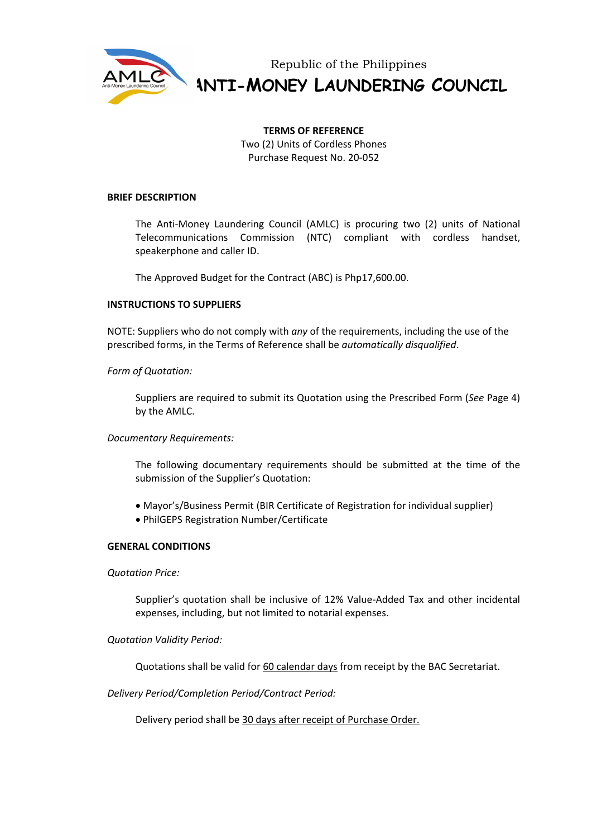

Republic of the Philippines **ANTI-MONEY LAUNDERING COUNCIL**

# **TERMS OF REFERENCE**

Two (2) Units of Cordless Phones Purchase Request No. 20-052

### **BRIEF DESCRIPTION**

The Anti-Money Laundering Council (AMLC) is procuring two (2) units of National Telecommunications Commission (NTC) compliant with cordless handset, speakerphone and caller ID.

The Approved Budget for the Contract (ABC) is Php17,600.00.

### **INSTRUCTIONS TO SUPPLIERS**

NOTE: Suppliers who do not comply with *any* of the requirements, including the use of the prescribed forms, in the Terms of Reference shall be *automatically disqualified*.

## *Form of Quotation:*

Suppliers are required to submit its Quotation using the Prescribed Form (*See* Page 4) by the AMLC.

## *Documentary Requirements:*

The following documentary requirements should be submitted at the time of the submission of the Supplier's Quotation:

- Mayor's/Business Permit (BIR Certificate of Registration for individual supplier)
- PhilGEPS Registration Number/Certificate

#### **GENERAL CONDITIONS**

*Quotation Price:*

Supplier's quotation shall be inclusive of 12% Value-Added Tax and other incidental expenses, including, but not limited to notarial expenses.

## *Quotation Validity Period:*

Quotations shall be valid for 60 calendar days from receipt by the BAC Secretariat.

*Delivery Period/Completion Period/Contract Period:*

Delivery period shall be 30 days after receipt of Purchase Order.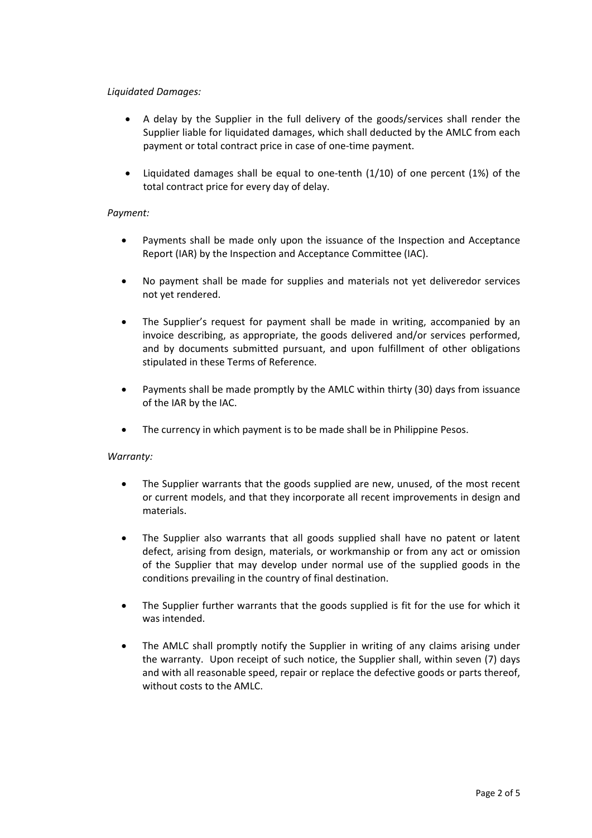# *Liquidated Damages:*

- A delay by the Supplier in the full delivery of the goods/services shall render the Supplier liable for liquidated damages, which shall deducted by the AMLC from each payment or total contract price in case of one-time payment.
- Liquidated damages shall be equal to one-tenth (1/10) of one percent (1%) of the total contract price for every day of delay.

## *Payment:*

- Payments shall be made only upon the issuance of the Inspection and Acceptance Report (IAR) by the Inspection and Acceptance Committee (IAC).
- No payment shall be made for supplies and materials not yet deliveredor services not yet rendered.
- The Supplier's request for payment shall be made in writing, accompanied by an invoice describing, as appropriate, the goods delivered and/or services performed, and by documents submitted pursuant, and upon fulfillment of other obligations stipulated in these Terms of Reference.
- Payments shall be made promptly by the AMLC within thirty (30) days from issuance of the IAR by the IAC.
- The currency in which payment is to be made shall be in Philippine Pesos.

## *Warranty:*

- The Supplier warrants that the goods supplied are new, unused, of the most recent or current models, and that they incorporate all recent improvements in design and materials.
- The Supplier also warrants that all goods supplied shall have no patent or latent defect, arising from design, materials, or workmanship or from any act or omission of the Supplier that may develop under normal use of the supplied goods in the conditions prevailing in the country of final destination.
- The Supplier further warrants that the goods supplied is fit for the use for which it was intended.
- The AMLC shall promptly notify the Supplier in writing of any claims arising under the warranty. Upon receipt of such notice, the Supplier shall, within seven (7) days and with all reasonable speed, repair or replace the defective goods or parts thereof, without costs to the AMLC.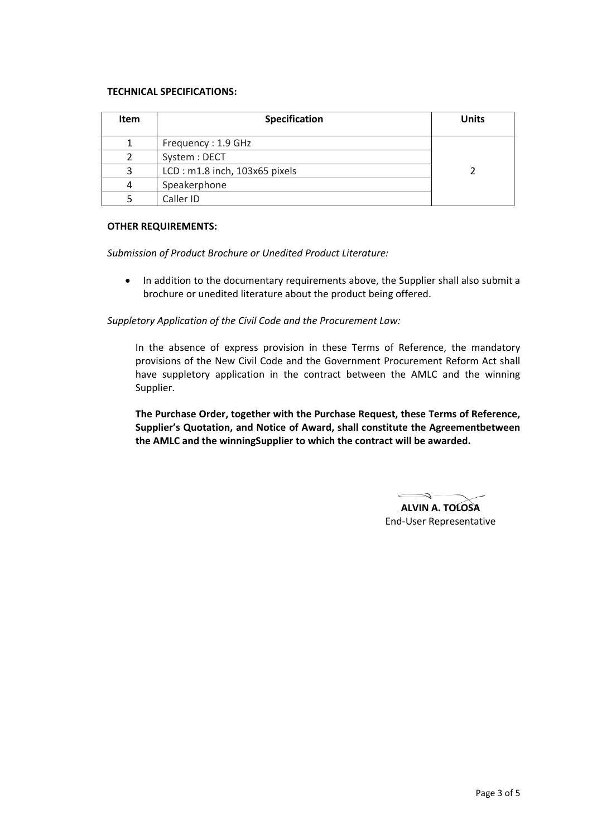### **TECHNICAL SPECIFICATIONS:**

| <b>Item</b> | Specification                 | <b>Units</b> |
|-------------|-------------------------------|--------------|
|             | Frequency: 1.9 GHz            |              |
|             | System: DECT                  |              |
|             | LCD: m1.8 inch, 103x65 pixels |              |
|             | Speakerphone                  |              |
|             | Caller ID                     |              |

### **OTHER REQUIREMENTS:**

*Submission of Product Brochure or Unedited Product Literature:*

• In addition to the documentary requirements above, the Supplier shall also submit a brochure or unedited literature about the product being offered.

*Suppletory Application of the Civil Code and the Procurement Law:*

In the absence of express provision in these Terms of Reference, the mandatory provisions of the New Civil Code and the Government Procurement Reform Act shall have suppletory application in the contract between the AMLC and the winning Supplier.

**The Purchase Order, together with the Purchase Request, these Terms of Reference, Supplier's Quotation, and Notice of Award, shall constitute the Agreementbetween the AMLC and the winningSupplier to which the contract will be awarded.**

 $\epsilon$ 

**ALVIN A. TOLOSA** End-User Representative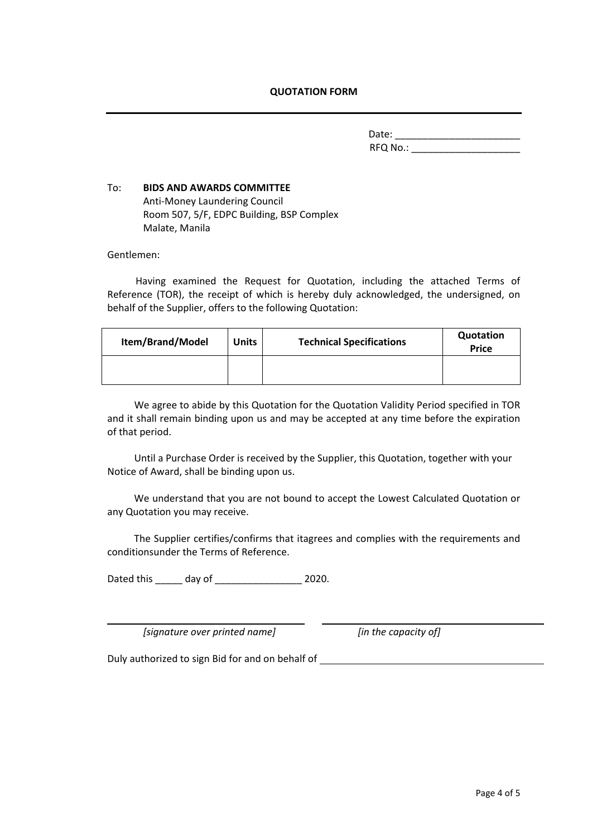## **QUOTATION FORM**

Date: \_\_\_\_\_\_\_\_\_\_\_\_\_\_\_\_\_\_\_\_\_\_\_ RFQ No.: \_\_\_\_\_\_\_\_\_\_\_\_\_\_\_\_\_\_\_\_

# To: **BIDS AND AWARDS COMMITTEE** Anti-Money Laundering Council Room 507, 5/F, EDPC Building, BSP Complex Malate, Manila

Gentlemen:

Having examined the Request for Quotation, including the attached Terms of Reference (TOR), the receipt of which is hereby duly acknowledged, the undersigned, on behalf of the Supplier, offers to the following Quotation:

| Item/Brand/Model | <b>Units</b> | <b>Technical Specifications</b> | Quotation<br><b>Price</b> |
|------------------|--------------|---------------------------------|---------------------------|
|                  |              |                                 |                           |

We agree to abide by this Quotation for the Quotation Validity Period specified in TOR and it shall remain binding upon us and may be accepted at any time before the expiration of that period.

Until a Purchase Order is received by the Supplier, this Quotation, together with your Notice of Award, shall be binding upon us.

We understand that you are not bound to accept the Lowest Calculated Quotation or any Quotation you may receive.

The Supplier certifies/confirms that itagrees and complies with the requirements and conditionsunder the Terms of Reference.

Dated this \_\_\_\_\_ day of \_\_\_\_\_\_\_\_\_\_\_\_\_\_\_\_ 2020.

*[signature over printed name] [in the capacity of]*

Duly authorized to sign Bid for and on behalf of